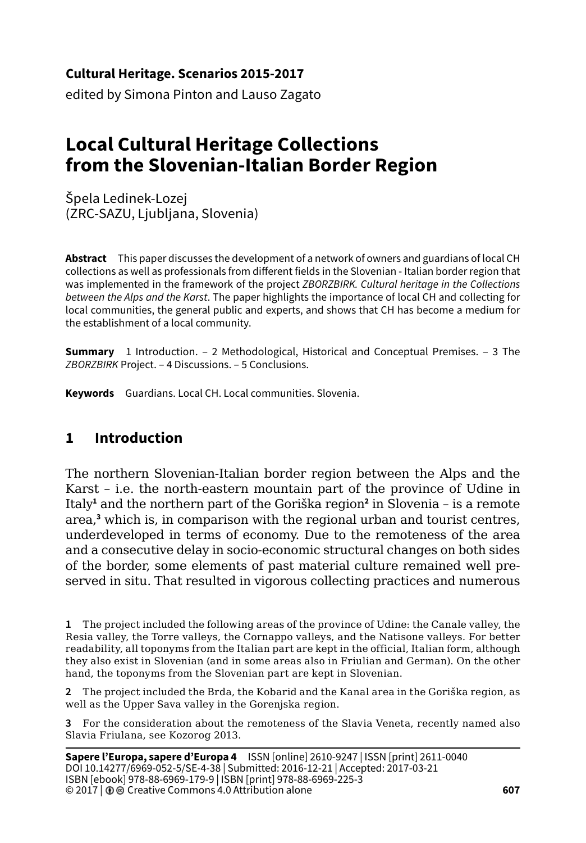**Cultural Heritage. Scenarios 2015-2017**

edited by Simona Pinton and Lauso Zagato

# **Local Cultural Heritage Collections from the Slovenian-Italian Border Region**

Špela Ledinek-Lozej (ZRC-SAZU, Ljubljana, Slovenia)

**Abstract** This paper discusses the development of a network of owners and guardians of local CH collections as well as professionals from different fields in the Slovenian - Italian border region that was implemented in the framework of the project *ZBORZBIRK. Cultural heritage in the Collections between the Alps and the Karst*. The paper highlights the importance of local CH and collecting for local communities, the general public and experts, and shows that CH has become a medium for the establishment of a local community.

**Summary** 1 Introduction. – 2 Methodological, Historical and Conceptual Premises. – 3 The *ZBORZBIRK* Project. – 4 Discussions. – 5 Conclusions.

**Keywords** Guardians. Local CH. Local communities. Slovenia.

# **1 Introduction**

The northern Slovenian-Italian border region between the Alps and the Karst – i.e. the north-eastern mountain part of the province of Udine in Italy<sup>1</sup> and the northern part of the Goriška region<sup>2</sup> in Slovenia - is a remote area,**<sup>3</sup>** which is, in comparison with the regional urban and tourist centres, underdeveloped in terms of economy. Due to the remoteness of the area and a consecutive delay in socio-economic structural changes on both sides of the border, some elements of past material culture remained well preserved in situ. That resulted in vigorous collecting practices and numerous

**1** The project included the following areas of the province of Udine: the Canale valley, the Resia valley, the Torre valleys, the Cornappo valleys, and the Natisone valleys. For better readability, all toponyms from the Italian part are kept in the official, Italian form, although they also exist in Slovenian (and in some areas also in Friulian and German). On the other hand, the toponyms from the Slovenian part are kept in Slovenian.

**2** The project included the Brda, the Kobarid and the Kanal area in the Goriška region, as well as the Upper Sava valley in the Gorenjska region.

**3** For the consideration about the remoteness of the Slavia Veneta, recently named also Slavia Friulana, see Kozorog 2013.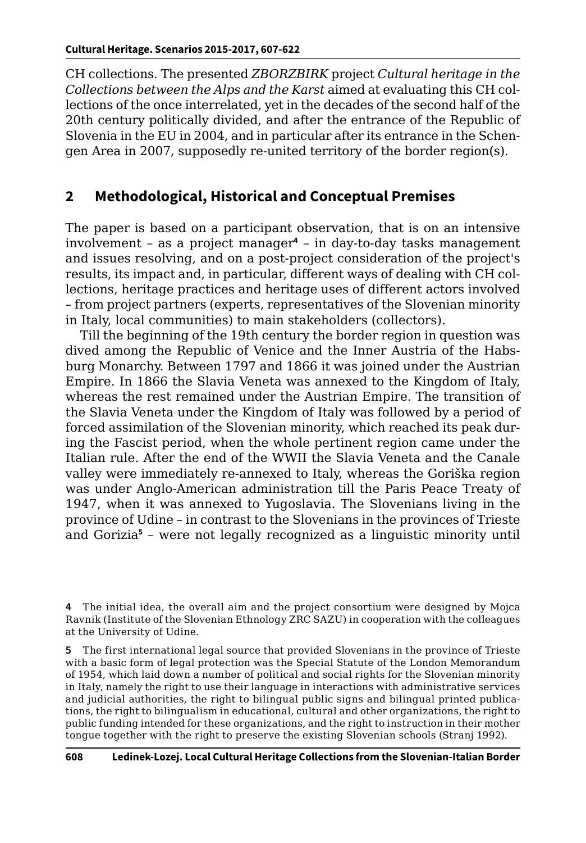CH collections. The presented *ZBORZBIRK* project *Cultural heritage in the Collections between the Alps and the Karst* aimed at evaluating this CH collections of the once interrelated, yet in the decades of the second half of the 20th century politically divided, and after the entrance of the Republic of Slovenia in the EU in 2004, and in particular after its entrance in the Schengen Area in 2007, supposedly re-united territory of the border region(s).

## **2 Methodological, Historical and Conceptual Premises**

The paper is based on a participant observation, that is on an intensive involvement – as a project manager**<sup>4</sup>** – in day-to-day tasks management and issues resolving, and on a post-project consideration of the project's results, its impact and, in particular, different ways of dealing with CH collections, heritage practices and heritage uses of different actors involved – from project partners (experts, representatives of the Slovenian minority in Italy, local communities) to main stakeholders (collectors).

Till the beginning of the 19th century the border region in question was dived among the Republic of Venice and the Inner Austria of the Habsburg Monarchy. Between 1797 and 1866 it was joined under the Austrian Empire. In 1866 the Slavia Veneta was annexed to the Kingdom of Italy, whereas the rest remained under the Austrian Empire. The transition of the Slavia Veneta under the Kingdom of Italy was followed by a period of forced assimilation of the Slovenian minority, which reached its peak during the Fascist period, when the whole pertinent region came under the Italian rule. After the end of the WWII the Slavia Veneta and the Canale valley were immediately re-annexed to Italy, whereas the Goriška region was under Anglo-American administration till the Paris Peace Treaty of 1947, when it was annexed to Yugoslavia. The Slovenians living in the province of Udine – in contrast to the Slovenians in the provinces of Trieste and Gorizia**<sup>5</sup>** – were not legally recognized as a linguistic minority until

**5** The first international legal source that provided Slovenians in the province of Trieste with a basic form of legal protection was the Special Statute of the London Memorandum of 1954, which laid down a number of political and social rights for the Slovenian minority in Italy, namely the right to use their language in interactions with administrative services and judicial authorities, the right to bilingual public signs and bilingual printed publications, the right to bilingualism in educational, cultural and other organizations, the right to public funding intended for these organizations, and the right to instruction in their mother tongue together with the right to preserve the existing Slovenian schools (Stranj 1992).

**<sup>4</sup>** The initial idea, the overall aim and the project consortium were designed by Mojca Ravnik (Institute of the Slovenian Ethnology ZRC SAZU) in cooperation with the colleagues at the University of Udine.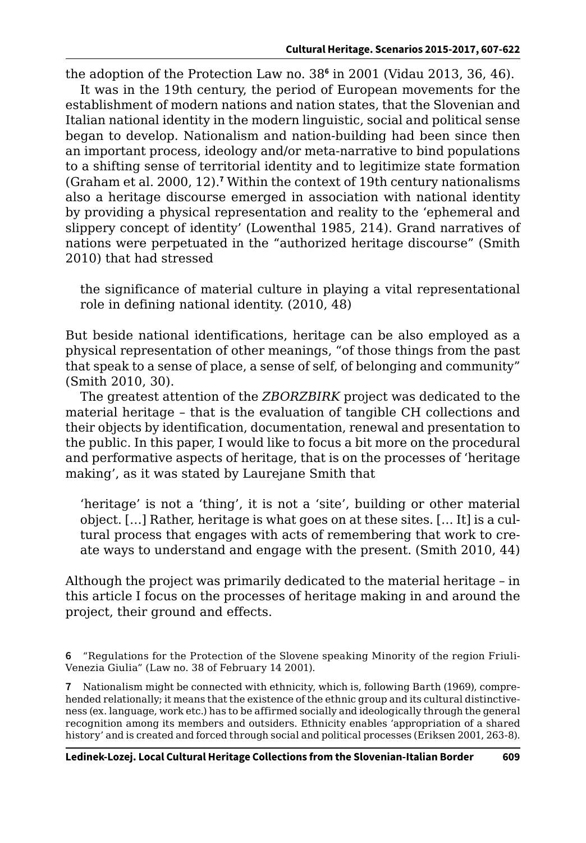the adoption of the Protection Law no. 38**<sup>6</sup>** in 2001 (Vidau 2013, 36, 46).

It was in the 19th century, the period of European movements for the establishment of modern nations and nation states, that the Slovenian and Italian national identity in the modern linguistic, social and political sense began to develop. Nationalism and nation-building had been since then an important process, ideology and/or meta-narrative to bind populations to a shifting sense of territorial identity and to legitimize state formation (Graham et al. 2000, 12).**<sup>7</sup>** Within the context of 19th century nationalisms also a heritage discourse emerged in association with national identity by providing a physical representation and reality to the 'ephemeral and slippery concept of identity' (Lowenthal 1985, 214). Grand narratives of nations were perpetuated in the "authorized heritage discourse" (Smith 2010) that had stressed

the significance of material culture in playing a vital representational role in defining national identity. (2010, 48)

But beside national identifications, heritage can be also employed as a physical representation of other meanings, "of those things from the past that speak to a sense of place, a sense of self, of belonging and community" (Smith 2010, 30).

The greatest attention of the *ZBORZBIRK* project was dedicated to the material heritage – that is the evaluation of tangible CH collections and their objects by identification, documentation, renewal and presentation to the public. In this paper, I would like to focus a bit more on the procedural and performative aspects of heritage, that is on the processes of 'heritage making', as it was stated by Laurejane Smith that

'heritage' is not a 'thing', it is not a 'site', building or other material object. […] Rather, heritage is what goes on at these sites. [… It] is a cultural process that engages with acts of remembering that work to create ways to understand and engage with the present. (Smith 2010, 44)

Although the project was primarily dedicated to the material heritage – in this article I focus on the processes of heritage making in and around the project, their ground and effects.

**6** "Regulations for the Protection of the Slovene speaking Minority of the region Friuli-Venezia Giulia" (Law no. 38 of February 14 2001).

**7** Nationalism might be connected with ethnicity, which is, following Barth (1969), comprehended relationally; it means that the existence of the ethnic group and its cultural distinctiveness (ex. language, work etc.) has to be affirmed socially and ideologically through the general recognition among its members and outsiders. Ethnicity enables 'appropriation of a shared history' and is created and forced through social and political processes (Eriksen 2001, 263-8).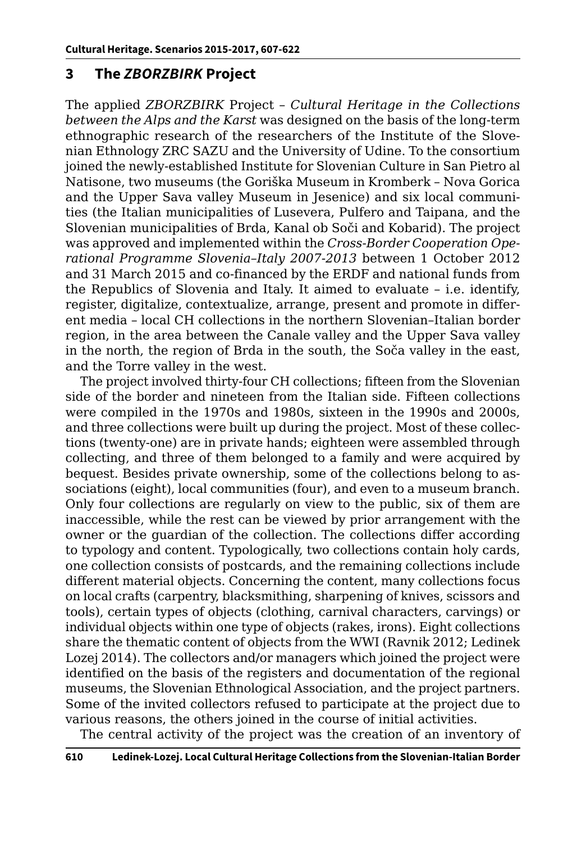## **3 The** *ZBORZBIRK* **Project**

The applied *ZBORZBIRK* Project – *Cultural Heritage in the Collections between the Alps and the Karst* was designed on the basis of the long-term ethnographic research of the researchers of the Institute of the Slovenian Ethnology ZRC SAZU and the University of Udine. To the consortium joined the newly-established Institute for Slovenian Culture in San Pietro al Natisone, two museums (the Goriška Museum in Kromberk – Nova Gorica and the Upper Sava valley Museum in Jesenice) and six local communities (the Italian municipalities of Lusevera, Pulfero and Taipana, and the Slovenian municipalities of Brda, Kanal ob Soči and Kobarid). The project was approved and implemented within the *Cross-Border Cooperation Operational Programme Slovenia–Italy 2007-2013* between 1 October 2012 and 31 March 2015 and co-financed by the ERDF and national funds from the Republics of Slovenia and Italy. It aimed to evaluate – i.e. identify, register, digitalize, contextualize, arrange, present and promote in different media – local CH collections in the northern Slovenian–Italian border region, in the area between the Canale valley and the Upper Sava valley in the north, the region of Brda in the south, the Soča valley in the east, and the Torre valley in the west.

The project involved thirty-four CH collections; fifteen from the Slovenian side of the border and nineteen from the Italian side. Fifteen collections were compiled in the 1970s and 1980s, sixteen in the 1990s and 2000s, and three collections were built up during the project. Most of these collections (twenty-one) are in private hands; eighteen were assembled through collecting, and three of them belonged to a family and were acquired by bequest. Besides private ownership, some of the collections belong to associations (eight), local communities (four), and even to a museum branch. Only four collections are regularly on view to the public, six of them are inaccessible, while the rest can be viewed by prior arrangement with the owner or the guardian of the collection. The collections differ according to typology and content. Typologically, two collections contain holy cards, one collection consists of postcards, and the remaining collections include different material objects. Concerning the content, many collections focus on local crafts (carpentry, blacksmithing, sharpening of knives, scissors and tools), certain types of objects (clothing, carnival characters, carvings) or individual objects within one type of objects (rakes, irons). Eight collections share the thematic content of objects from the WWI (Ravnik 2012; Ledinek Lozej 2014). The collectors and/or managers which joined the project were identified on the basis of the registers and documentation of the regional museums, the Slovenian Ethnological Association, and the project partners. Some of the invited collectors refused to participate at the project due to various reasons, the others joined in the course of initial activities.

The central activity of the project was the creation of an inventory of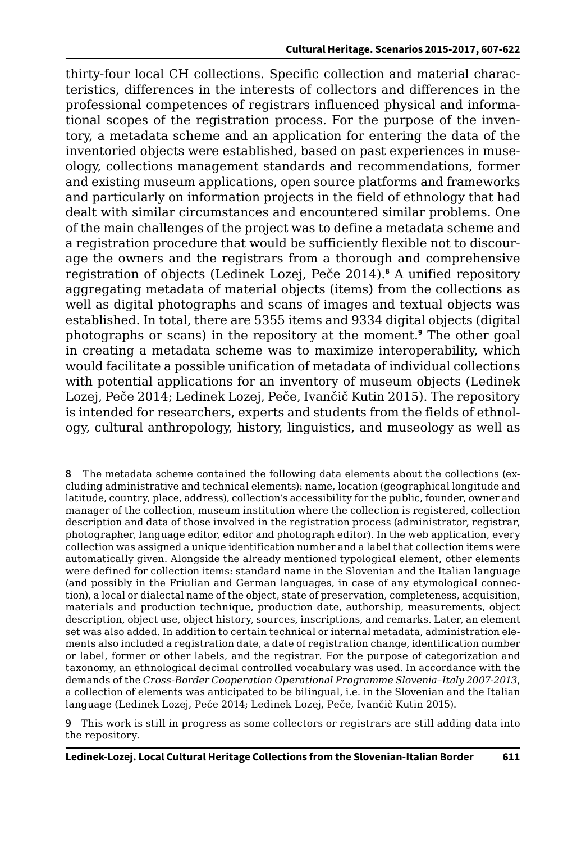thirty-four local CH collections. Specific collection and material characteristics, differences in the interests of collectors and differences in the professional competences of registrars influenced physical and informational scopes of the registration process. For the purpose of the inventory, a metadata scheme and an application for entering the data of the inventoried objects were established, based on past experiences in museology, collections management standards and recommendations, former and existing museum applications, open source platforms and frameworks and particularly on information projects in the field of ethnology that had dealt with similar circumstances and encountered similar problems. One of the main challenges of the project was to define a metadata scheme and a registration procedure that would be sufficiently flexible not to discourage the owners and the registrars from a thorough and comprehensive registration of objects (Ledinek Lozej, Peče 2014).**<sup>8</sup>** A unified repository aggregating metadata of material objects (items) from the collections as well as digital photographs and scans of images and textual objects was established. In total, there are 5355 items and 9334 digital objects (digital photographs or scans) in the repository at the moment.**<sup>9</sup>** The other goal in creating a metadata scheme was to maximize interoperability, which would facilitate a possible unification of metadata of individual collections with potential applications for an inventory of museum objects (Ledinek Lozej, Peče 2014; Ledinek Lozej, Peče, Ivančič Kutin 2015). The repository is intended for researchers, experts and students from the fields of ethnology, cultural anthropology, history, linguistics, and museology as well as

**8** The metadata scheme contained the following data elements about the collections (excluding administrative and technical elements): name, location (geographical longitude and latitude, country, place, address), collection's accessibility for the public, founder, owner and manager of the collection, museum institution where the collection is registered, collection description and data of those involved in the registration process (administrator, registrar, photographer, language editor, editor and photograph editor). In the web application, every collection was assigned a unique identification number and a label that collection items were automatically given. Alongside the already mentioned typological element, other elements were defined for collection items: standard name in the Slovenian and the Italian language (and possibly in the Friulian and German languages, in case of any etymological connection), a local or dialectal name of the object, state of preservation, completeness, acquisition, materials and production technique, production date, authorship, measurements, object description, object use, object history, sources, inscriptions, and remarks. Later, an element set was also added. In addition to certain technical or internal metadata, administration elements also included a registration date, a date of registration change, identification number or label, former or other labels, and the registrar. For the purpose of categorization and taxonomy, an ethnological decimal controlled vocabulary was used. In accordance with the demands of the *Cross-Border Cooperation Operational Programme Slovenia–Italy 2007-2013*, a collection of elements was anticipated to be bilingual, i.e. in the Slovenian and the Italian language (Ledinek Lozej, Peče 2014; Ledinek Lozej, Peče, Ivančič Kutin 2015).

**9** This work is still in progress as some collectors or registrars are still adding data into the repository.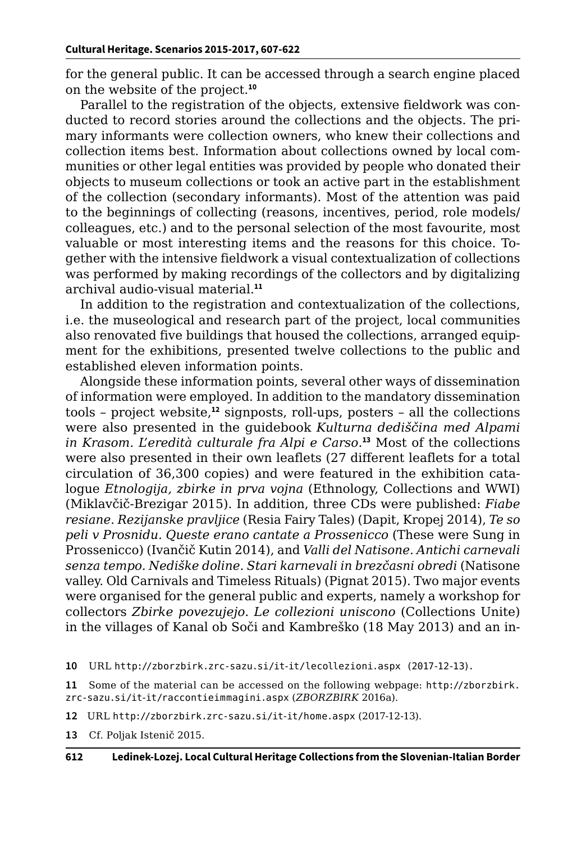for the general public. It can be accessed through a search engine placed on the website of the project.**<sup>10</sup>**

Parallel to the registration of the objects, extensive fieldwork was conducted to record stories around the collections and the objects. The primary informants were collection owners, who knew their collections and collection items best. Information about collections owned by local communities or other legal entities was provided by people who donated their objects to museum collections or took an active part in the establishment of the collection (secondary informants). Most of the attention was paid to the beginnings of collecting (reasons, incentives, period, role models/ colleagues, etc.) and to the personal selection of the most favourite, most valuable or most interesting items and the reasons for this choice. Together with the intensive fieldwork a visual contextualization of collections was performed by making recordings of the collectors and by digitalizing archival audio-visual material.**<sup>11</sup>**

In addition to the registration and contextualization of the collections, i.e. the museological and research part of the project, local communities also renovated five buildings that housed the collections, arranged equipment for the exhibitions, presented twelve collections to the public and established eleven information points.

Alongside these information points, several other ways of dissemination of information were employed. In addition to the mandatory dissemination tools – project website,**<sup>12</sup>** signposts, roll-ups, posters – all the collections were also presented in the guidebook *Kulturna dediščina med Alpami in Krasom. L'eredità culturale fra Alpi e Carso*. **<sup>13</sup>** Most of the collections were also presented in their own leaflets (27 different leaflets for a total circulation of 36,300 copies) and were featured in the exhibition catalogue *Etnologija, zbirke in prva vojna* (Ethnology, Collections and WWI) (Miklavčič-Brezigar 2015). In addition, three CDs were published: *Fiabe resiane. Rezijanske pravljice* (Resia Fairy Tales) (Dapit, Kropej 2014), *Te so peli v Prosnidu. Queste erano cantate a Prossenicco* (These were Sung in Prossenicco) (Ivančič Kutin 2014), and *Valli del Natisone. Antichi carnevali senza tempo. Nediške doline. Stari karnevali in brezčasni obredi* (Natisone valley. Old Carnivals and Timeless Rituals) (Pignat 2015). Two major events were organised for the general public and experts, namely a workshop for collectors *Zbirke povezujejo. Le collezioni uniscono* (Collections Unite) in the villages of Kanal ob Soči and Kambreško (18 May 2013) and an in-

**11** Some of the material can be accessed on the following webpage: [http://zborzbirk.](http://zborzbirk.zrc-sazu.si/it-it/raccontieimmagini.aspx) [zrc-sazu.si/it-it/raccontieimmagini.aspx](http://zborzbirk.zrc-sazu.si/it-it/raccontieimmagini.aspx) (*ZBORZBIRK* 2016a).

**13** Cf. Poljak Istenič 2015.

**<sup>10</sup>** URL [http://zborzbirk.zrc-sazu.si/it-it/lecollezioni.aspx \(2017-12-13\).](http://zborzbirk.zrc-sazu.si/it-it/lecollezioni.aspx)

**<sup>12</sup>** URL <http://zborzbirk.zrc-sazu.si/it-it/home.aspx> (2017-12-13).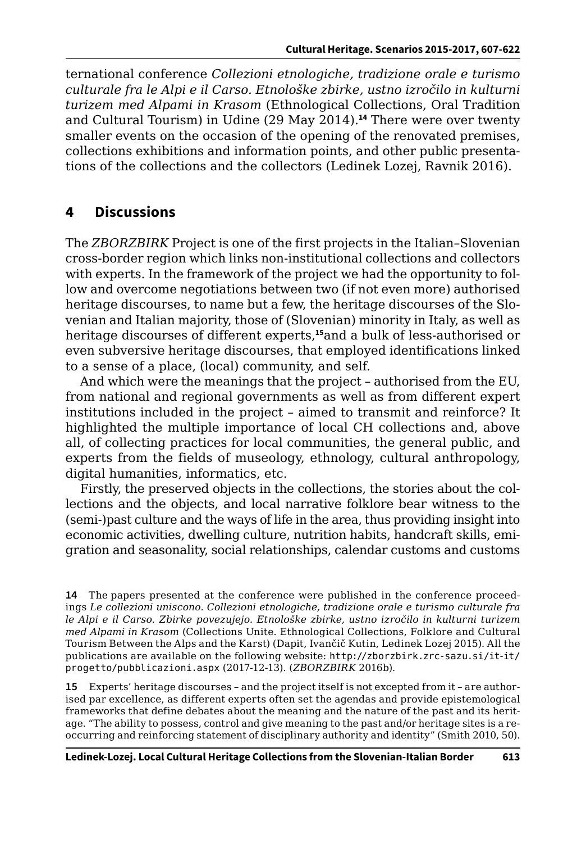ternational conference *Collezioni etnologiche, tradizione orale e turismo culturale fra le Alpi e il Carso. Etnološke zbirke, ustno izročilo in kulturni turizem med Alpami in Krasom* (Ethnological Collections, Oral Tradition and Cultural Tourism) in Udine (29 May 2014).**<sup>14</sup>** There were over twenty smaller events on the occasion of the opening of the renovated premises, collections exhibitions and information points, and other public presentations of the collections and the collectors (Ledinek Lozej, Ravnik 2016).

# **4 Discussions**

The *ZBORZBIRK* Project is one of the first projects in the Italian–Slovenian cross-border region which links non-institutional collections and collectors with experts. In the framework of the project we had the opportunity to follow and overcome negotiations between two (if not even more) authorised heritage discourses, to name but a few, the heritage discourses of the Slovenian and Italian majority, those of (Slovenian) minority in Italy, as well as heritage discourses of different experts,**<sup>15</sup>**and a bulk of less-authorised or even subversive heritage discourses, that employed identifications linked to a sense of a place, (local) community, and self.

And which were the meanings that the project – authorised from the EU, from national and regional governments as well as from different expert institutions included in the project – aimed to transmit and reinforce? It highlighted the multiple importance of local CH collections and, above all, of collecting practices for local communities, the general public, and experts from the fields of museology, ethnology, cultural anthropology, digital humanities, informatics, etc.

Firstly, the preserved objects in the collections, the stories about the collections and the objects, and local narrative folklore bear witness to the (semi-)past culture and the ways of life in the area, thus providing insight into economic activities, dwelling culture, nutrition habits, handcraft skills, emigration and seasonality, social relationships, calendar customs and customs

**15** Experts' heritage discourses – and the project itself is not excepted from it – are authorised par excellence, as different experts often set the agendas and provide epistemological frameworks that define debates about the meaning and the nature of the past and its heritage. "The ability to possess, control and give meaning to the past and/or heritage sites is a reoccurring and reinforcing statement of disciplinary authority and identity" (Smith 2010, 50).

**<sup>14</sup>** The papers presented at the conference were published in the conference proceedings *Le collezioni uniscono. Collezioni etnologiche, tradizione orale e turismo culturale fra le Alpi e il Carso. Zbirke povezujejo. Etnološke zbirke, ustno izročilo in kulturni turizem med Alpami in Krasom* (Collections Unite. Ethnological Collections, Folklore and Cultural Tourism Between the Alps and the Karst) (Dapit, Ivančič Kutin, Ledinek Lozej 2015). All the publications are available on the following website: [http://zborzbirk.zrc-sazu.si/it-it/](http://zborzbirk.zrc-sazu.si/it-it/progetto/pubblicazioni.aspx) [progetto/pubblicazioni.aspx](http://zborzbirk.zrc-sazu.si/it-it/progetto/pubblicazioni.aspx) (2017-12-13). (*ZBORZBIRK* 2016b).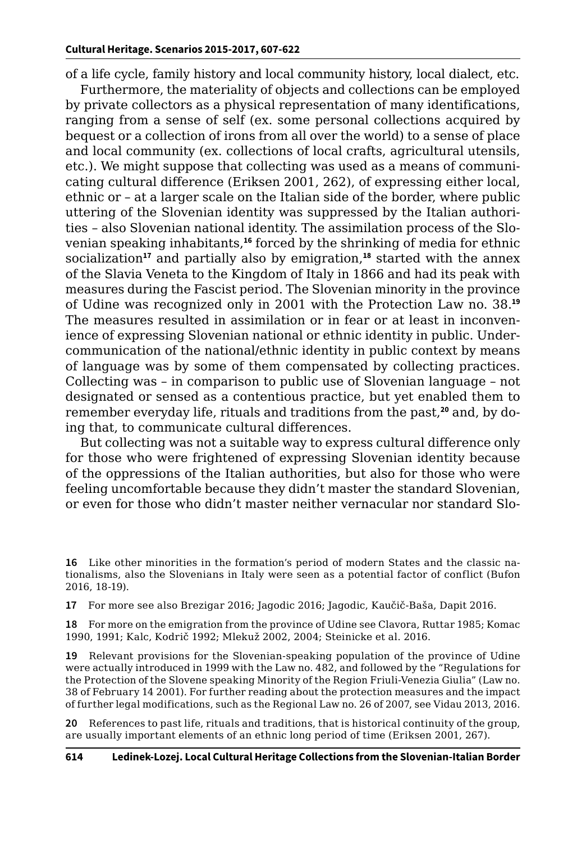of a life cycle, family history and local community history, local dialect, etc.

Furthermore, the materiality of objects and collections can be employed by private collectors as a physical representation of many identifications, ranging from a sense of self (ex. some personal collections acquired by bequest or a collection of irons from all over the world) to a sense of place and local community (ex. collections of local crafts, agricultural utensils, etc.). We might suppose that collecting was used as a means of communicating cultural difference (Eriksen 2001, 262), of expressing either local, ethnic or – at a larger scale on the Italian side of the border, where public uttering of the Slovenian identity was suppressed by the Italian authorities – also Slovenian national identity. The assimilation process of the Slovenian speaking inhabitants,**<sup>16</sup>** forced by the shrinking of media for ethnic socialization**<sup>17</sup>** and partially also by emigration,**<sup>18</sup>** started with the annex of the Slavia Veneta to the Kingdom of Italy in 1866 and had its peak with measures during the Fascist period. The Slovenian minority in the province of Udine was recognized only in 2001 with the Protection Law no. 38.**<sup>19</sup>** The measures resulted in assimilation or in fear or at least in inconvenience of expressing Slovenian national or ethnic identity in public. Undercommunication of the national/ethnic identity in public context by means of language was by some of them compensated by collecting practices. Collecting was – in comparison to public use of Slovenian language – not designated or sensed as a contentious practice, but yet enabled them to remember everyday life, rituals and traditions from the past,**20** and, by doing that, to communicate cultural differences.

But collecting was not a suitable way to express cultural difference only for those who were frightened of expressing Slovenian identity because of the oppressions of the Italian authorities, but also for those who were feeling uncomfortable because they didn't master the standard Slovenian, or even for those who didn't master neither vernacular nor standard Slo-

**17** For more see also Brezigar 2016; Jagodic 2016; Jagodic, Kaučič-Baša, Dapit 2016.

**18** For more on the emigration from the province of Udine see Clavora, Ruttar 1985; Komac 1990, 1991; Kalc, Kodrič 1992; Mlekuž 2002, 2004; Steinicke et al. 2016.

**19** Relevant provisions for the Slovenian-speaking population of the province of Udine were actually introduced in 1999 with the Law no. 482, and followed by the "Regulations for the Protection of the Slovene speaking Minority of the Region Friuli-Venezia Giulia" (Law no. 38 of February 14 2001). For further reading about the protection measures and the impact of further legal modifications, such as the Regional Law no. 26 of 2007, see Vidau 2013, 2016.

**20** References to past life, rituals and traditions, that is historical continuity of the group, are usually important elements of an ethnic long period of time (Eriksen 2001, 267).

**<sup>16</sup>** Like other minorities in the formation's period of modern States and the classic nationalisms, also the Slovenians in Italy were seen as a potential factor of conflict (Bufon 2016, 18-19).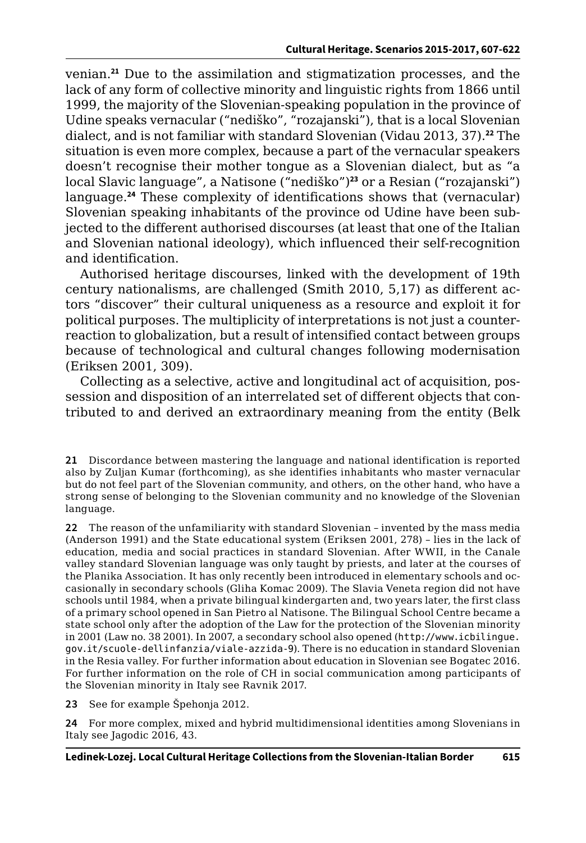venian.**<sup>21</sup>** Due to the assimilation and stigmatization processes, and the lack of any form of collective minority and linguistic rights from 1866 until 1999, the majority of the Slovenian-speaking population in the province of Udine speaks vernacular ("nediško", "rozajanski"), that is a local Slovenian dialect, and is not familiar with standard Slovenian (Vidau 2013, 37).**<sup>22</sup>** The situation is even more complex, because a part of the vernacular speakers doesn't recognise their mother tongue as a Slovenian dialect, but as "a local Slavic language", a Natisone ("nediško")**<sup>23</sup>** or a Resian ("rozajanski") language.**<sup>24</sup>** These complexity of identifications shows that (vernacular) Slovenian speaking inhabitants of the province od Udine have been subjected to the different authorised discourses (at least that one of the Italian and Slovenian national ideology), which influenced their self-recognition and identification.

Authorised heritage discourses, linked with the development of 19th century nationalisms, are challenged (Smith 2010, 5,17) as different actors "discover" their cultural uniqueness as a resource and exploit it for political purposes. The multiplicity of interpretations is not just a counterreaction to globalization, but a result of intensified contact between groups because of technological and cultural changes following modernisation (Eriksen 2001, 309).

Collecting as a selective, active and longitudinal act of acquisition, possession and disposition of an interrelated set of different objects that contributed to and derived an extraordinary meaning from the entity (Belk

**21** Discordance between mastering the language and national identification is reported also by Zuljan Kumar (forthcoming), as she identifies inhabitants who master vernacular but do not feel part of the Slovenian community, and others, on the other hand, who have a strong sense of belonging to the Slovenian community and no knowledge of the Slovenian language.

**22** The reason of the unfamiliarity with standard Slovenian – invented by the mass media (Anderson 1991) and the State educational system (Eriksen 2001, 278) – lies in the lack of education, media and social practices in standard Slovenian. After WWII, in the Canale valley standard Slovenian language was only taught by priests, and later at the courses of the Planika Association. It has only recently been introduced in elementary schools and occasionally in secondary schools (Gliha Komac 2009). The Slavia Veneta region did not have schools until 1984, when a private bilingual kindergarten and, two years later, the first class of a primary school opened in San Pietro al Natisone. The Bilingual School Centre became a state school only after the adoption of the Law for the protection of the Slovenian minority in 2001 (Law no. 38 2001). In 2007, a secondary school also opened ([http://www.icbilingue.](http://www.icbilingue.gov.it/scuole-dellinfanzia/viale-azzida-9) [gov.it/scuole-dellinfanzia/viale-azzida-9](http://www.icbilingue.gov.it/scuole-dellinfanzia/viale-azzida-9)). There is no education in standard Slovenian in the Resia valley. For further information about education in Slovenian see Bogatec 2016. For further information on the role of CH in social communication among participants of the Slovenian minority in Italy see Ravnik 2017.

**23** See for example Špehonja 2012.

**24** For more complex, mixed and hybrid multidimensional identities among Slovenians in Italy see Jagodic 2016, 43.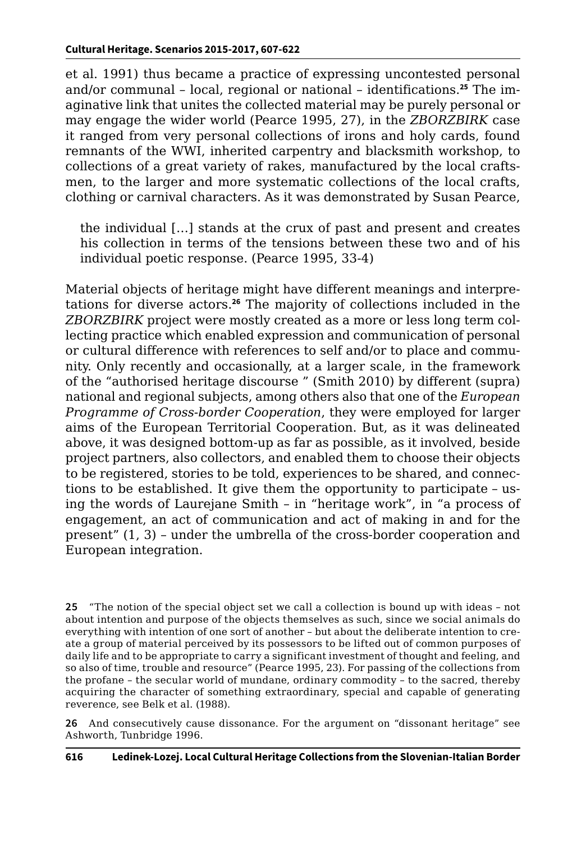et al. 1991) thus became a practice of expressing uncontested personal and/or communal – local, regional or national – identifications.**25** The imaginative link that unites the collected material may be purely personal or may engage the wider world (Pearce 1995, 27), in the *ZBORZBIRK* case it ranged from very personal collections of irons and holy cards, found remnants of the WWI, inherited carpentry and blacksmith workshop, to collections of a great variety of rakes, manufactured by the local craftsmen, to the larger and more systematic collections of the local crafts, clothing or carnival characters. As it was demonstrated by Susan Pearce,

the individual […] stands at the crux of past and present and creates his collection in terms of the tensions between these two and of his individual poetic response. (Pearce 1995, 33-4)

Material objects of heritage might have different meanings and interpretations for diverse actors.**<sup>26</sup>** The majority of collections included in the *ZBORZBIRK* project were mostly created as a more or less long term collecting practice which enabled expression and communication of personal or cultural difference with references to self and/or to place and community. Only recently and occasionally, at a larger scale, in the framework of the "authorised heritage discourse " (Smith 2010) by different (supra) national and regional subjects, among others also that one of the *European Programme of Cross-border Cooperation*, they were employed for larger aims of the European Territorial Cooperation. But, as it was delineated above, it was designed bottom-up as far as possible, as it involved, beside project partners, also collectors, and enabled them to choose their objects to be registered, stories to be told, experiences to be shared, and connections to be established. It give them the opportunity to participate – using the words of Laurejane Smith – in "heritage work", in "a process of engagement, an act of communication and act of making in and for the present" (1, 3) – under the umbrella of the cross-border cooperation and European integration.

**25** "The notion of the special object set we call a collection is bound up with ideas – not about intention and purpose of the objects themselves as such, since we social animals do everything with intention of one sort of another – but about the deliberate intention to create a group of material perceived by its possessors to be lifted out of common purposes of daily life and to be appropriate to carry a significant investment of thought and feeling, and so also of time, trouble and resource" (Pearce 1995, 23). For passing of the collections from the profane – the secular world of mundane, ordinary commodity – to the sacred, thereby acquiring the character of something extraordinary, special and capable of generating reverence, see Belk et al. (1988).

**26** And consecutively cause dissonance. For the argument on "dissonant heritage" see Ashworth, Tunbridge 1996.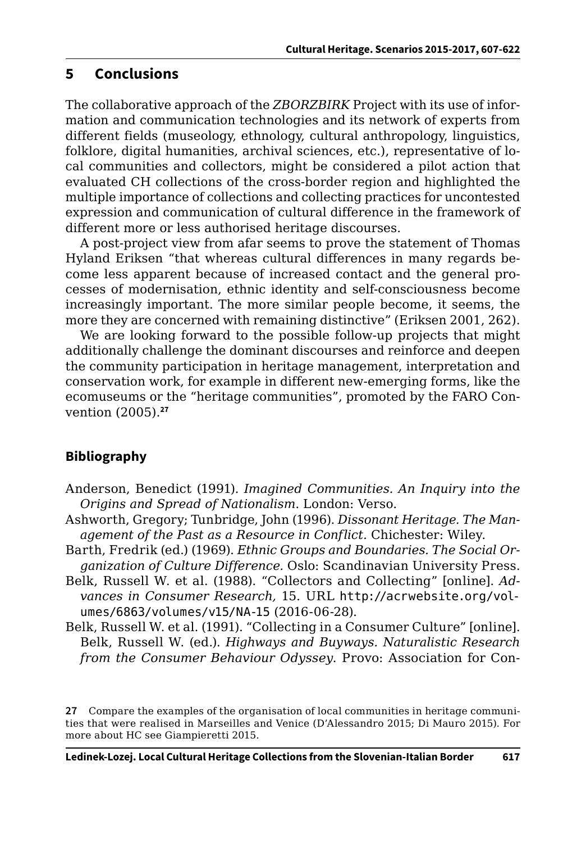#### **5 Conclusions**

The collaborative approach of the *ZBORZBIRK* Project with its use of information and communication technologies and its network of experts from different fields (museology, ethnology, cultural anthropology, linguistics, folklore, digital humanities, archival sciences, etc.), representative of local communities and collectors, might be considered a pilot action that evaluated CH collections of the cross-border region and highlighted the multiple importance of collections and collecting practices for uncontested expression and communication of cultural difference in the framework of different more or less authorised heritage discourses.

A post-project view from afar seems to prove the statement of Thomas Hyland Eriksen "that whereas cultural differences in many regards become less apparent because of increased contact and the general processes of modernisation, ethnic identity and self-consciousness become increasingly important. The more similar people become, it seems, the more they are concerned with remaining distinctive" (Eriksen 2001, 262).

We are looking forward to the possible follow-up projects that might additionally challenge the dominant discourses and reinforce and deepen the community participation in heritage management, interpretation and conservation work, for example in different new-emerging forms, like the ecomuseums or the "heritage communities", promoted by the FARO Convention (2005).**<sup>27</sup>**

#### **Bibliography**

- Anderson, Benedict (1991). *Imagined Communities. An Inquiry into the Origins and Spread of Nationalism*. London: Verso.
- Ashworth, Gregory; Tunbridge, John (1996). *Dissonant Heritage. The Management of the Past as a Resource in Conflict.* Chichester: Wiley.
- Barth, Fredrik (ed.) (1969). *Ethnic Groups and Boundaries. The Social Organization of Culture Difference.* Oslo: Scandinavian University Press.
- Belk, Russell W. et al. (1988). "Collectors and Collecting" [online]. *Advances in Consumer Research,* 15. URL [http://acrwebsite.org/vol](http://acrwebsite.org/volumes/6863/volumes/v15/NA-15)[umes/6863/volumes/v15/NA-15](http://acrwebsite.org/volumes/6863/volumes/v15/NA-15) (2016-06-28).
- Belk, Russell W. et al. (1991). "Collecting in a Consumer Culture" [online]. Belk, Russell W. (ed.). *Highways and Buyways. Naturalistic Research from the Consumer Behaviour Odyssey*. Provo: Association for Con-

**27** Compare the examples of the organisation of local communities in heritage communities that were realised in Marseilles and Venice (D'Alessandro 2015; Di Mauro 2015). For more about HC see Giampieretti 2015.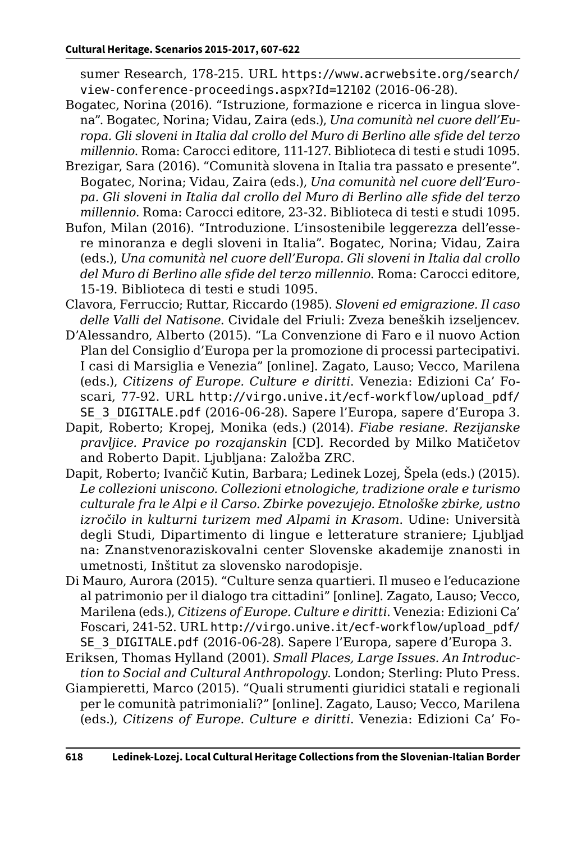sumer Research, 178-215. URL [https://www.acrwebsite.org/search/](https://www.acrwebsite.org/search/view-conference-proceedings.aspx?Id=12102) [view-conference-proceedings.aspx?Id=12102](https://www.acrwebsite.org/search/view-conference-proceedings.aspx?Id=12102) (2016-06-28).

- Bogatec, Norina (2016). "Istruzione, formazione e ricerca in lingua slovena". Bogatec, Norina; Vidau, Zaira (eds.), *Una comunità nel cuore dell'Europa. Gli sloveni in Italia dal crollo del Muro di Berlino alle sfide del terzo millennio*. Roma: Carocci editore, 111-127. Biblioteca di testi e studi 1095.
- Brezigar, Sara (2016). "Comunità slovena in Italia tra passato e presente". Bogatec, Norina; Vidau, Zaira (eds.), *Una comunità nel cuore dell'Europa. Gli sloveni in Italia dal crollo del Muro di Berlino alle sfide del terzo millennio*. Roma: Carocci editore, 23-32. Biblioteca di testi e studi 1095.
- Bufon, Milan (2016). "Introduzione. L'insostenibile leggerezza dell'essere minoranza e degli sloveni in Italia". Bogatec, Norina; Vidau, Zaira (eds.), *Una comunità nel cuore dell'Europa. Gli sloveni in Italia dal crollo del Muro di Berlino alle sfide del terzo millennio*. Roma: Carocci editore, 15-19. Biblioteca di testi e studi 1095.
- Clavora, Ferruccio; Ruttar, Riccardo (1985). *Sloveni ed emigrazione. Il caso delle Valli del Natisone*. Cividale del Friuli: Zveza beneških izseljencev.
- D'Alessandro, Alberto (2015). "La Convenzione di Faro e il nuovo Action Plan del Consiglio d'Europa per la promozione di processi partecipativi. I casi di Marsiglia e Venezia" [online]. Zagato, Lauso; Vecco, Marilena (eds.), *Citizens of Europe. Culture e diritti*. Venezia: Edizioni Ca' Foscari, 77-92. URL [http://virgo.unive.it/ecf-workflow/upload\\_pdf/](http://virgo.unive.it/ecf-workflow/upload_pdf/SE_3_DIGITALE.pdf) [SE\\_3\\_DIGITALE.pdf](http://virgo.unive.it/ecf-workflow/upload_pdf/SE_3_DIGITALE.pdf) (2016-06-28). Sapere l'Europa, sapere d'Europa 3.
- Dapit, Roberto; Kropej, Monika (eds.) (2014). *Fiabe resiane. Rezijanske pravljice. Pravice po rozajanskin* [CD]*.* Recorded by Milko Matičetov and Roberto Dapit. Ljubljana: Založba ZRC.
- Dapit, Roberto; Ivančič Kutin, Barbara; Ledinek Lozej, Špela (eds.) (2015). *Le collezioni uniscono. Collezioni etnologiche, tradizione orale e turismo culturale fra le Alpi e il Carso. Zbirke povezujejo. Etnološke zbirke, ustno izročilo in kulturni turizem med Alpami in Krasom*. Udine: Università degli Studi, Dipartimento di lingue e letterature straniere; Ljubljad na: Znanstvenoraziskovalni center Slovenske akademije znanosti in umetnosti, Inštitut za slovensko narodopisje.
- Di Mauro, Aurora (2015). "Culture senza quartieri. Il museo e l'educazione al patrimonio per il dialogo tra cittadini" [online]. Zagato, Lauso; Vecco, Marilena (eds.), *Citizens of Europe. Culture e diritti*. Venezia: Edizioni Ca' Foscari, 241-52. URL [http://virgo.unive.it/ecf-workflow/upload\\_pdf/](http://virgo.unive.it/ecf-workflow/upload_pdf/SE_3_DIGITALE.pdf) SE 3 DIGITALE.pdf (2016-06-28). Sapere l'Europa, sapere d'Europa 3.
- Eriksen, Thomas Hylland (2001). *Small Places, Large Issues. An Introduction to Social and Cultural Anthropology*. London; Sterling: Pluto Press.
- Giampieretti, Marco (2015). "Quali strumenti giuridici statali e regionali per le comunità patrimoniali?" [online]. Zagato, Lauso; Vecco, Marilena (eds.), *Citizens of Europe. Culture e diritti*. Venezia: Edizioni Ca' Fo-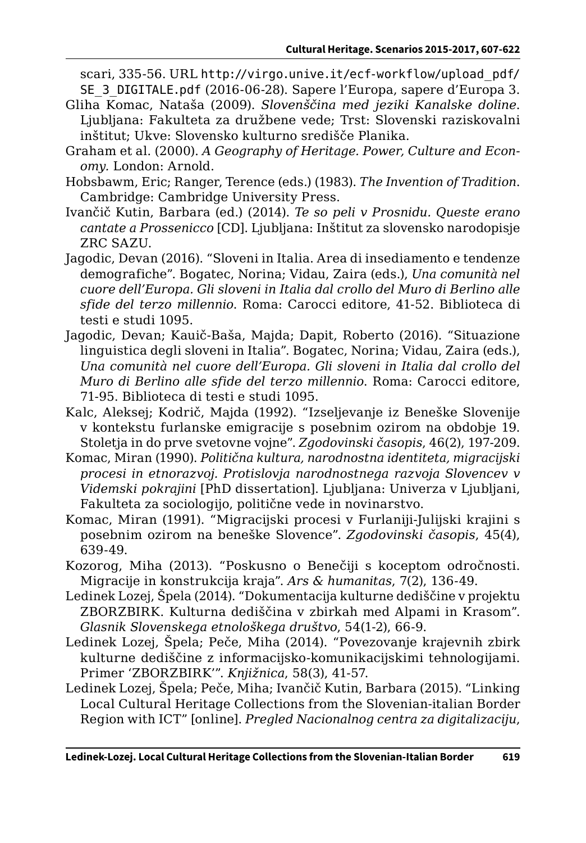scari, 335-56. URL [http://virgo.unive.it/ecf-workflow/upload\\_pdf/](http://virgo.unive.it/ecf-workflow/upload_pdf/SE_3_DIGITALE.pdf) [SE\\_3\\_DIGITALE.pdf](http://virgo.unive.it/ecf-workflow/upload_pdf/SE_3_DIGITALE.pdf) (2016-06-28). Sapere l'Europa, sapere d'Europa 3.

- Gliha Komac, Nataša (2009). *Slovenščina med jeziki Kanalske doline*. Ljubljana: Fakulteta za družbene vede; Trst: Slovenski raziskovalni inštitut; Ukve: Slovensko kulturno središče Planika.
- Graham et al. (2000). *A Geography of Heritage. Power, Culture and Economy.* London: Arnold.
- Hobsbawm, Eric; Ranger, Terence (eds.) (1983). *The Invention of Tradition*. Cambridge: Cambridge University Press.
- Ivančič Kutin, Barbara (ed.) (2014). *Te so peli v Prosnidu. Queste erano cantate a Prossenicco* [CD]. Ljubljana: Inštitut za slovensko narodopisje ZRC SAZU.
- Jagodic, Devan (2016). "Sloveni in Italia. Area di insediamento e tendenze demografiche". Bogatec, Norina; Vidau, Zaira (eds.), *Una comunità nel cuore dell'Europa. Gli sloveni in Italia dal crollo del Muro di Berlino alle sfide del terzo millennio*. Roma: Carocci editore, 41-52. Biblioteca di testi e studi 1095.
- Jagodic, Devan; Kauič-Baša, Majda; Dapit, Roberto (2016). "Situazione linguistica degli sloveni in Italia". Bogatec, Norina; Vidau, Zaira (eds.), *Una comunità nel cuore dell'Europa. Gli sloveni in Italia dal crollo del Muro di Berlino alle sfide del terzo millennio*. Roma: Carocci editore, 71-95. Biblioteca di testi e studi 1095.
- Kalc, Aleksej; Kodrič, Majda (1992). "Izseljevanje iz Beneške Slovenije v kontekstu furlanske emigracije s posebnim ozirom na obdobje 19. Stoletja in do prve svetovne vojne". *Zgodovinski časopis*, 46(2), 197-209.
- Komac, Miran (1990). *Politična kultura, narodnostna identiteta, migracijski procesi in etnorazvoj. Protislovja narodnostnega razvoja Slovencev v Videmski pokrajini* [PhD dissertation]. Ljubljana: Univerza v Ljubljani, Fakulteta za sociologijo, politične vede in novinarstvo.
- Komac, Miran (1991). "Migracijski procesi v Furlaniji-Julijski krajini s posebnim ozirom na beneške Slovence". *Zgodovinski časopis*, 45(4), 639-49.
- Kozorog, Miha (2013). "Poskusno o Benečiji s koceptom odročnosti. Migracije in konstrukcija kraja". *Ars & humanitas*, 7(2), 136-49.
- Ledinek Lozej, Špela (2014). "Dokumentacija kulturne dediščine v projektu ZBORZBIRK. Kulturna dediščina v zbirkah med Alpami in Krasom". *Glasnik Slovenskega etnološkega društvo*, 54(1-2), 66-9.
- Ledinek Lozej, Špela; Peče, Miha (2014). "Povezovanje krajevnih zbirk kulturne dediščine z informacijsko-komunikacijskimi tehnologijami. Primer 'ZBORZBIRK'". *Knjižnica*, 58(3), 41-57.
- Ledinek Lozej, Špela; Peče, Miha; Ivančič Kutin, Barbara (2015). "Linking Local Cultural Heritage Collections from the Slovenian-italian Border Region with ICT" [online]. *Pregled Nacionalnog centra za digitalizaciju*,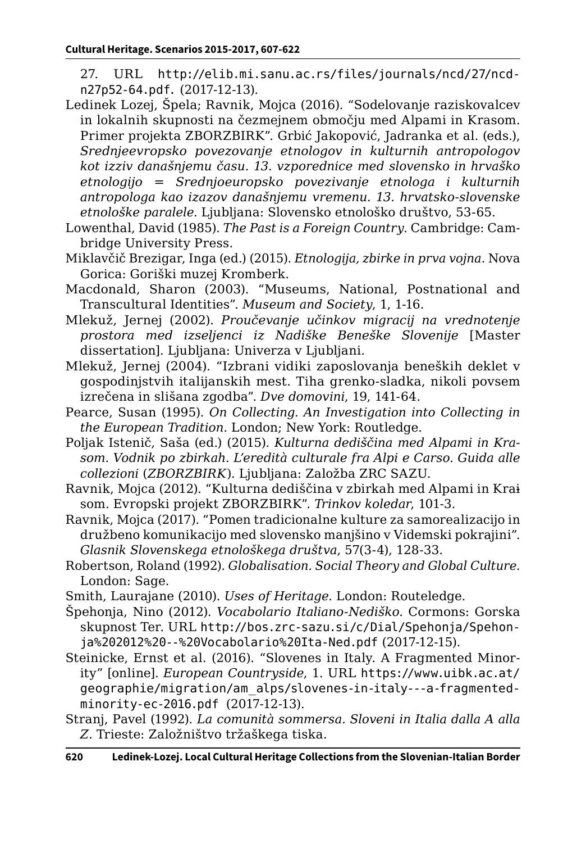- 27. URL [http://elib.mi.sanu.ac.rs/files/journals/ncd/27/ncd](http://elib.mi.sanu.ac.rs/files/journals/ncd/27/ncdn27p52-64.pdf)[n27p52-64.pdf.](http://elib.mi.sanu.ac.rs/files/journals/ncd/27/ncdn27p52-64.pdf) (2017-12-13).
- Ledinek Lozej, Špela; Ravnik, Mojca (2016). "Sodelovanje raziskovalcev in lokalnih skupnosti na čezmejnem območju med Alpami in Krasom. Primer projekta ZBORZBIRK". Grbić Jakopović, Jadranka et al. (eds.), *Srednjeevropsko povezovanje etnologov in kulturnih antropologov kot izziv današnjemu času. 13. vzporednice med slovensko in hrvaško etnologijo = Srednjoeuropsko povezivanje etnologa i kulturnih antropologa kao izazov današnjemu vremenu. 13. hrvatsko-slovenske etnološke paralele.* Ljubljana: Slovensko etnološko društvo, 53-65.
- Lowenthal, David (1985). *The Past is a Foreign Country*. Cambridge: Cambridge University Press.
- Miklavčič Brezigar, Inga (ed.) (2015). *Etnologija, zbirke in prva vojna*. Nova Gorica: Goriški muzej Kromberk.
- Macdonald, Sharon (2003). "Museums, National, Postnational and Transcultural Identities". *Museum and Society*, 1, 1-16.
- Mlekuž, Jernej (2002). *Proučevanje učinkov migracij na vrednotenje prostora med izseljenci iz Nadiške Beneške Slovenije* [Master dissertation]. Ljubljana: Univerza v Ljubljani.
- Mlekuž, Jernej (2004). "Izbrani vidiki zaposlovanja beneških deklet v gospodinjstvih italijanskih mest. Tiha grenko-sladka, nikoli povsem izrečena in slišana zgodba". *Dve domovini*, 19, 141-64.
- Pearce, Susan (1995). *On Collecting. An Investigation into Collecting in the European Tradition*. London; New York: Routledge.
- Poljak Istenič, Saša (ed.) (2015). *Kulturna dediščina med Alpami in Krasom. Vodnik po zbirkah*. *L'eredità culturale fra Alpi e Carso. Guida alle collezioni* (*ZBORZBIRK*). Ljubljana: Založba ZRC SAZU.
- Ravnik, Mojca (2012). "Kulturna dediščina v zbirkah med Alpami in Krai som. Evropski projekt ZBORZBIRK". *Trinkov koledar*, 101-3.
- Ravnik, Mojca (2017). "Pomen tradicionalne kulture za samorealizacijo in družbeno komunikacijo med slovensko manjšino v Videmski pokrajini". *Glasnik Slovenskega etnološkega društva*, 57(3-4), 128-33.
- Robertson, Roland (1992). *Globalisation. Social Theory and Global Culture*. London: Sage.
- Smith, Laurajane (2010). *Uses of Heritage.* London: Routeledge.
- Špehonja, Nino (2012). *Vocabolario Italiano-Nediško.* Cormons: Gorska skupnost Ter. URL [http://bos.zrc-sazu.si/c/Dial/Spehonja/Spehon](http://bos.zrc-sazu.si/c/Dial/Spehonja/Spehonja%202012%20--%20Vocabolario%20Ita-Ned.pdf)[ja%202012%20--%20Vocabolario%20Ita-Ned.pdf](http://bos.zrc-sazu.si/c/Dial/Spehonja/Spehonja%202012%20--%20Vocabolario%20Ita-Ned.pdf) (2017-12-15).
- Steinicke, Ernst et al. (2016). "Slovenes in Italy. A Fragmented Minority" [online]. *European Countryside*, 1. URL [https://www.uibk.ac.at/](https://www.uibk.ac.at/geographie/migration/am_alps/slovenes-in-italy---a-fragmented-minority-ec-2016.pdf) [geographie/migration/am\\_alps/slovenes-in-italy---a-fragmented](https://www.uibk.ac.at/geographie/migration/am_alps/slovenes-in-italy---a-fragmented-minority-ec-2016.pdf)[minority-ec-2016.pdf](https://www.uibk.ac.at/geographie/migration/am_alps/slovenes-in-italy---a-fragmented-minority-ec-2016.pdf) (2017-12-13).
- Stranj, Pavel (1992). *La comunità sommersa. Sloveni in Italia dalla A alla Z*. Trieste: Založništvo tržaškega tiska.